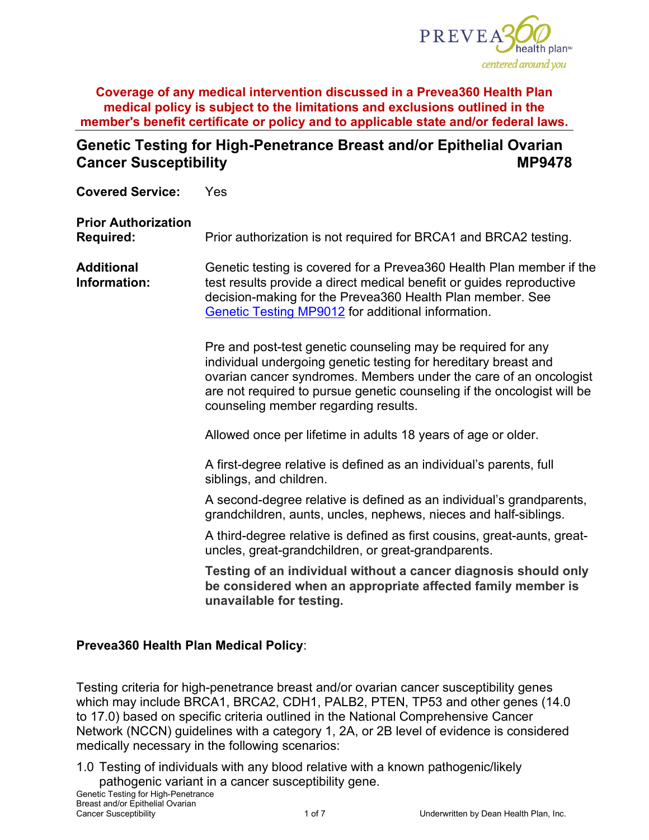

# **Genetic Testing for High-Penetrance Breast and/or Epithelial Ovarian Cancer Susceptibility MP9478**

**Covered Service:** Yes **Prior Authorization Required:** Prior authorization is not required for BRCA1 and BRCA2 testing. **Additional Information:** Genetic testing is covered for a Prevea360 Health Plan member if the test results provide a direct medical benefit or guides reproductive decision-making for the Prevea360 Health Plan member. See [Genetic Testing MP9012](https://www.prevea360.com/DocumentLibrary/PDF/Medical-Policies/Genetic-Testing-9012) for additional information. Pre and post-test genetic counseling may be required for any individual undergoing genetic testing for hereditary breast and ovarian cancer syndromes. Members under the care of an oncologist are not required to pursue genetic counseling if the oncologist will be counseling member regarding results. Allowed once per lifetime in adults 18 years of age or older. A first-degree relative is defined as an individual's parents, full siblings, and children. A second-degree relative is defined as an individual's grandparents, grandchildren, aunts, uncles, nephews, nieces and half-siblings. A third-degree relative is defined as first cousins, great-aunts, greatuncles, great-grandchildren, or great-grandparents. **Testing of an individual without a cancer diagnosis should only be considered when an appropriate affected family member is unavailable for testing.**

#### **Prevea360 Health Plan Medical Policy**:

Testing criteria for high-penetrance breast and/or ovarian cancer susceptibility genes which may include BRCA1, BRCA2, CDH1, PALB2, PTEN, TP53 and other genes (14.0 to 17.0) based on specific criteria outlined in the National Comprehensive Cancer Network (NCCN) guidelines with a category 1, 2A, or 2B level of evidence is considered medically necessary in the following scenarios:

1.0 Testing of individuals with any blood relative with a known pathogenic/likely pathogenic variant in a cancer susceptibility gene.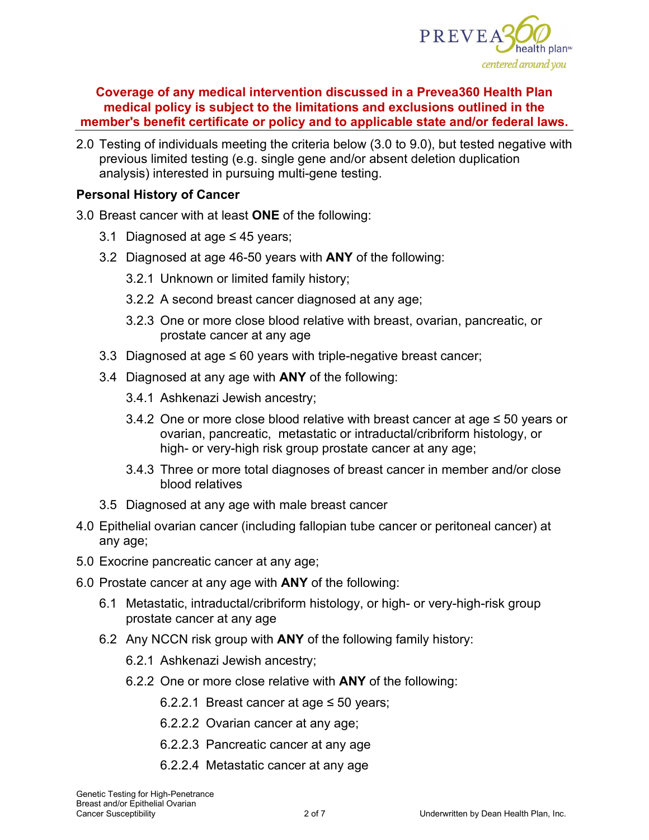

2.0 Testing of individuals meeting the criteria below (3.0 to 9.0), but tested negative with previous limited testing (e.g. single gene and/or absent deletion duplication analysis) interested in pursuing multi-gene testing.

#### **Personal History of Cancer**

3.0 Breast cancer with at least **ONE** of the following:

- 3.1 Diagnosed at age ≤ 45 years;
- 3.2 Diagnosed at age 46-50 years with **ANY** of the following:
	- 3.2.1 Unknown or limited family history;
	- 3.2.2 A second breast cancer diagnosed at any age;
	- 3.2.3 One or more close blood relative with breast, ovarian, pancreatic, or prostate cancer at any age
- 3.3 Diagnosed at age  $\leq 60$  years with triple-negative breast cancer;
- 3.4 Diagnosed at any age with **ANY** of the following:
	- 3.4.1 Ashkenazi Jewish ancestry;
	- 3.4.2 One or more close blood relative with breast cancer at age ≤ 50 years or ovarian, pancreatic, metastatic or intraductal/cribriform histology, or high- or very-high risk group prostate cancer at any age;
	- 3.4.3 Three or more total diagnoses of breast cancer in member and/or close blood relatives
- 3.5 Diagnosed at any age with male breast cancer
- 4.0 Epithelial ovarian cancer (including fallopian tube cancer or peritoneal cancer) at any age;
- 5.0 Exocrine pancreatic cancer at any age;
- 6.0 Prostate cancer at any age with **ANY** of the following:
	- 6.1 Metastatic, intraductal/cribriform histology, or high- or very-high-risk group prostate cancer at any age
	- 6.2 Any NCCN risk group with **ANY** of the following family history:
		- 6.2.1 Ashkenazi Jewish ancestry;
		- 6.2.2 One or more close relative with **ANY** of the following:
			- 6.2.2.1 Breast cancer at age ≤ 50 years;
			- 6.2.2.2 Ovarian cancer at any age;
			- 6.2.2.3 Pancreatic cancer at any age
			- 6.2.2.4 Metastatic cancer at any age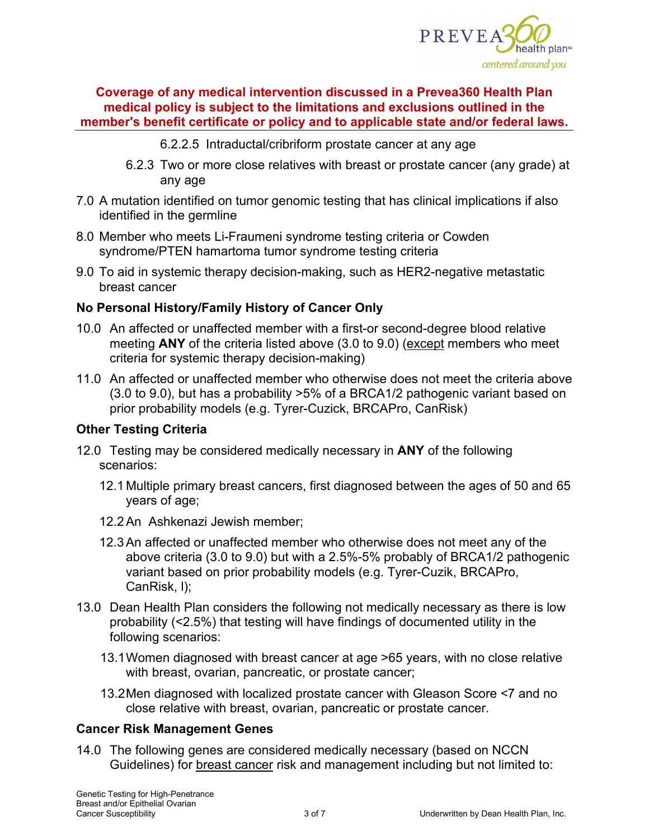

- 6.2.2.5 Intraductal/cribriform prostate cancer at any age
- 6.2.3 Two or more close relatives with breast or prostate cancer (any grade) at any age
- 7.0 A mutation identified on tumor genomic testing that has clinical implications if also identified in the germline
- 8.0 Member who meets Li-Fraumeni syndrome testing criteria or Cowden syndrome/PTEN hamartoma tumor syndrome testing criteria
- 9.0 To aid in systemic therapy decision-making, such as HER2-negative metastatic breast cancer

# **No Personal History/Family History of Cancer Only**

- 10.0 An affected or unaffected member with a first-or second-degree blood relative meeting **ANY** of the criteria listed above (3.0 to 9.0) (except members who meet criteria for systemic therapy decision-making)
- 11.0 An affected or unaffected member who otherwise does not meet the criteria above (3.0 to 9.0), but has a probability >5% of a BRCA1/2 pathogenic variant based on prior probability models (e.g. Tyrer-Cuzick, BRCAPro, CanRisk)

#### **Other Testing Criteria**

- 12.0 Testing may be considered medically necessary in **ANY** of the following scenarios:
	- 12.1 Multiple primary breast cancers, first diagnosed between the ages of 50 and 65 years of age;
	- 12.2An Ashkenazi Jewish member;
	- 12.3An affected or unaffected member who otherwise does not meet any of the above criteria (3.0 to 9.0) but with a 2.5%-5% probably of BRCA1/2 pathogenic variant based on prior probability models (e.g. Tyrer-Cuzik, BRCAPro, CanRisk, l);
- 13.0 Dean Health Plan considers the following not medically necessary as there is low probability (<2.5%) that testing will have findings of documented utility in the following scenarios:
	- 13.1Women diagnosed with breast cancer at age >65 years, with no close relative with breast, ovarian, pancreatic, or prostate cancer;
	- 13.2Men diagnosed with localized prostate cancer with Gleason Score <7 and no close relative with breast, ovarian, pancreatic or prostate cancer.

#### **Cancer Risk Management Genes**

14.0 The following genes are considered medically necessary (based on NCCN Guidelines) for breast cancer risk and management including but not limited to: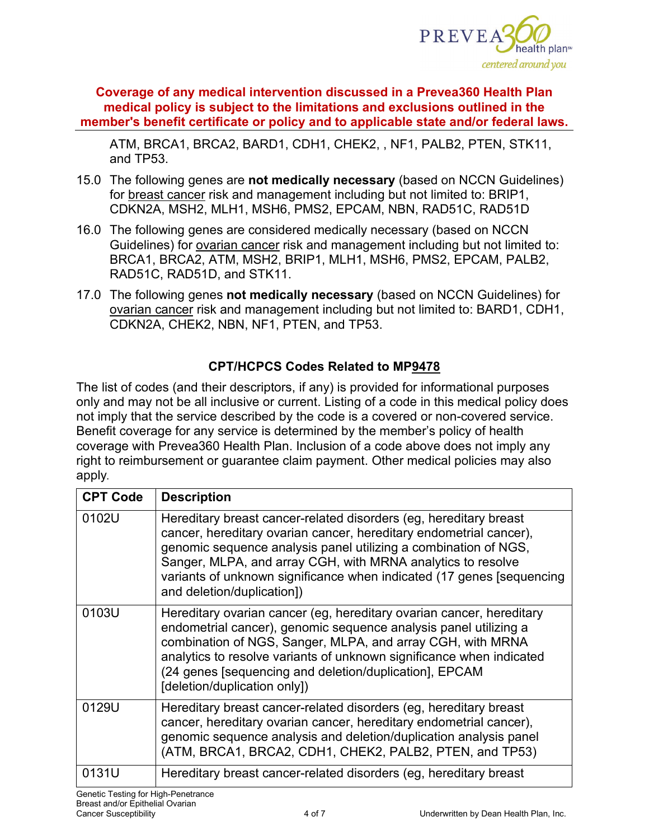

ATM, BRCA1, BRCA2, BARD1, CDH1, CHEK2, , NF1, PALB2, PTEN, STK11, and TP53.

- 15.0 The following genes are **not medically necessary** (based on NCCN Guidelines) for breast cancer risk and management including but not limited to: BRIP1, CDKN2A, MSH2, MLH1, MSH6, PMS2, EPCAM, NBN, RAD51C, RAD51D
- 16.0 The following genes are considered medically necessary (based on NCCN Guidelines) for ovarian cancer risk and management including but not limited to: BRCA1, BRCA2, ATM, MSH2, BRIP1, MLH1, MSH6, PMS2, EPCAM, PALB2, RAD51C, RAD51D, and STK11.
- 17.0 The following genes **not medically necessary** (based on NCCN Guidelines) for ovarian cancer risk and management including but not limited to: BARD1, CDH1, CDKN2A, CHEK2, NBN, NF1, PTEN, and TP53.

# **CPT/HCPCS Codes Related to MP9478**

The list of codes (and their descriptors, if any) is provided for informational purposes only and may not be all inclusive or current. Listing of a code in this medical policy does not imply that the service described by the code is a covered or non-covered service. Benefit coverage for any service is determined by the member's policy of health coverage with Prevea360 Health Plan. Inclusion of a code above does not imply any right to reimbursement or guarantee claim payment. Other medical policies may also apply*.*

| <b>CPT Code</b> | <b>Description</b>                                                                                                                                                                                                                                                                                                                                                                |  |
|-----------------|-----------------------------------------------------------------------------------------------------------------------------------------------------------------------------------------------------------------------------------------------------------------------------------------------------------------------------------------------------------------------------------|--|
| 0102U           | Hereditary breast cancer-related disorders (eg, hereditary breast<br>cancer, hereditary ovarian cancer, hereditary endometrial cancer),<br>genomic sequence analysis panel utilizing a combination of NGS,<br>Sanger, MLPA, and array CGH, with MRNA analytics to resolve<br>variants of unknown significance when indicated (17 genes [sequencing]<br>and deletion/duplication]) |  |
| 0103U           | Hereditary ovarian cancer (eg, hereditary ovarian cancer, hereditary<br>endometrial cancer), genomic sequence analysis panel utilizing a<br>combination of NGS, Sanger, MLPA, and array CGH, with MRNA<br>analytics to resolve variants of unknown significance when indicated<br>(24 genes [sequencing and deletion/duplication], EPCAM<br>[deletion/duplication only])          |  |
| 0129U           | Hereditary breast cancer-related disorders (eg, hereditary breast<br>cancer, hereditary ovarian cancer, hereditary endometrial cancer),<br>genomic sequence analysis and deletion/duplication analysis panel<br>(ATM, BRCA1, BRCA2, CDH1, CHEK2, PALB2, PTEN, and TP53)                                                                                                           |  |
| 0131U           | Hereditary breast cancer-related disorders (eg, hereditary breast                                                                                                                                                                                                                                                                                                                 |  |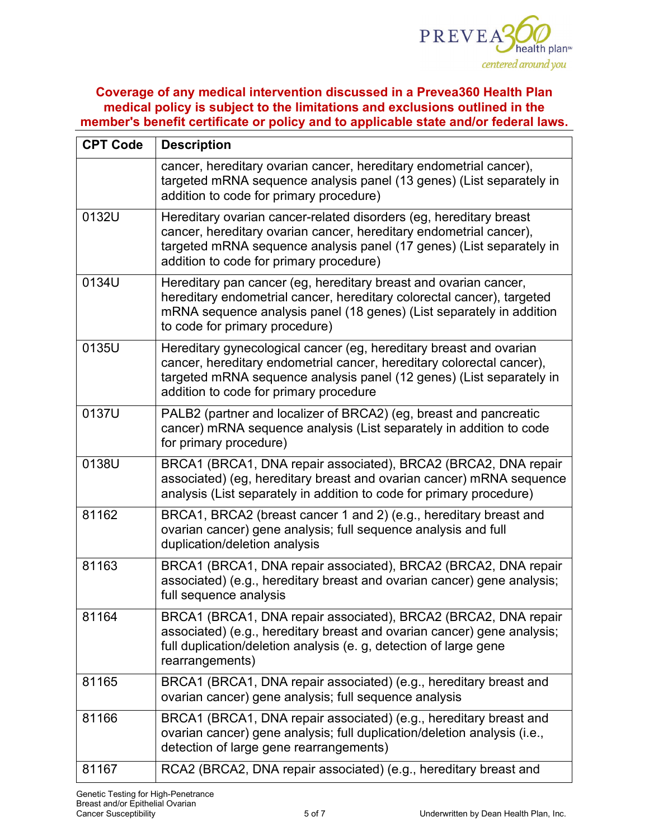

| <b>CPT Code</b> | <b>Description</b>                                                                                                                                                                                                                                            |  |  |
|-----------------|---------------------------------------------------------------------------------------------------------------------------------------------------------------------------------------------------------------------------------------------------------------|--|--|
|                 | cancer, hereditary ovarian cancer, hereditary endometrial cancer),<br>targeted mRNA sequence analysis panel (13 genes) (List separately in<br>addition to code for primary procedure)                                                                         |  |  |
| 0132U           | Hereditary ovarian cancer-related disorders (eg, hereditary breast<br>cancer, hereditary ovarian cancer, hereditary endometrial cancer),<br>targeted mRNA sequence analysis panel (17 genes) (List separately in<br>addition to code for primary procedure)   |  |  |
| 0134U           | Hereditary pan cancer (eg, hereditary breast and ovarian cancer,<br>hereditary endometrial cancer, hereditary colorectal cancer), targeted<br>mRNA sequence analysis panel (18 genes) (List separately in addition<br>to code for primary procedure)          |  |  |
| 0135U           | Hereditary gynecological cancer (eg, hereditary breast and ovarian<br>cancer, hereditary endometrial cancer, hereditary colorectal cancer),<br>targeted mRNA sequence analysis panel (12 genes) (List separately in<br>addition to code for primary procedure |  |  |
| 0137U           | PALB2 (partner and localizer of BRCA2) (eg, breast and pancreatic<br>cancer) mRNA sequence analysis (List separately in addition to code<br>for primary procedure)                                                                                            |  |  |
| 0138U           | BRCA1 (BRCA1, DNA repair associated), BRCA2 (BRCA2, DNA repair<br>associated) (eg, hereditary breast and ovarian cancer) mRNA sequence<br>analysis (List separately in addition to code for primary procedure)                                                |  |  |
| 81162           | BRCA1, BRCA2 (breast cancer 1 and 2) (e.g., hereditary breast and<br>ovarian cancer) gene analysis; full sequence analysis and full<br>duplication/deletion analysis                                                                                          |  |  |
| 81163           | BRCA1 (BRCA1, DNA repair associated), BRCA2 (BRCA2, DNA repair<br>associated) (e.g., hereditary breast and ovarian cancer) gene analysis;<br>full sequence analysis                                                                                           |  |  |
| 81164           | BRCA1 (BRCA1, DNA repair associated), BRCA2 (BRCA2, DNA repair<br>associated) (e.g., hereditary breast and ovarian cancer) gene analysis;<br>full duplication/deletion analysis (e. g, detection of large gene<br>rearrangements)                             |  |  |
| 81165           | BRCA1 (BRCA1, DNA repair associated) (e.g., hereditary breast and<br>ovarian cancer) gene analysis; full sequence analysis                                                                                                                                    |  |  |
| 81166           | BRCA1 (BRCA1, DNA repair associated) (e.g., hereditary breast and<br>ovarian cancer) gene analysis; full duplication/deletion analysis (i.e.,<br>detection of large gene rearrangements)                                                                      |  |  |
| 81167           | RCA2 (BRCA2, DNA repair associated) (e.g., hereditary breast and                                                                                                                                                                                              |  |  |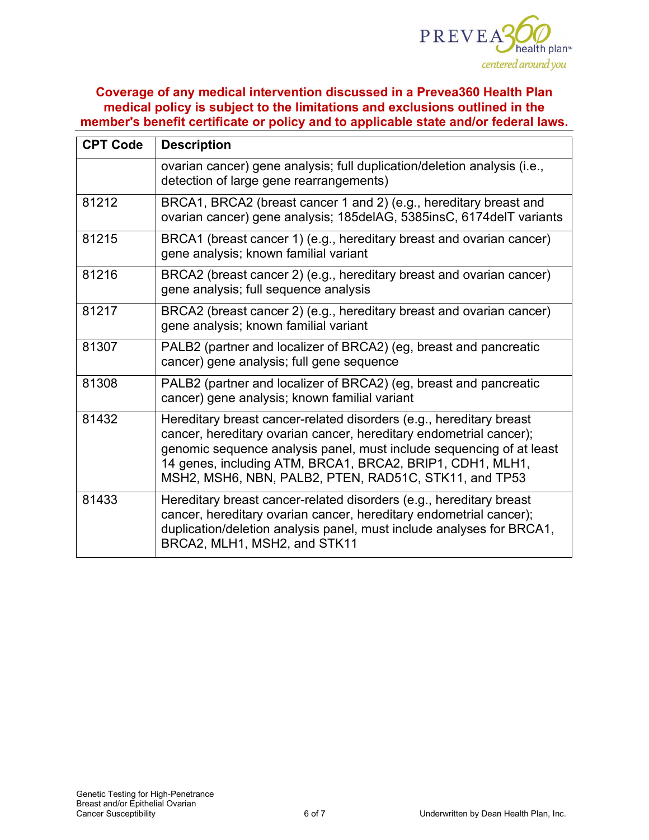

| <b>CPT Code</b> | <b>Description</b>                                                                                                                                                                                                                                                                                                                      |  |  |
|-----------------|-----------------------------------------------------------------------------------------------------------------------------------------------------------------------------------------------------------------------------------------------------------------------------------------------------------------------------------------|--|--|
|                 | ovarian cancer) gene analysis; full duplication/deletion analysis (i.e.,<br>detection of large gene rearrangements)                                                                                                                                                                                                                     |  |  |
| 81212           | BRCA1, BRCA2 (breast cancer 1 and 2) (e.g., hereditary breast and<br>ovarian cancer) gene analysis; 185delAG, 5385insC, 6174delT variants                                                                                                                                                                                               |  |  |
| 81215           | BRCA1 (breast cancer 1) (e.g., hereditary breast and ovarian cancer)<br>gene analysis; known familial variant                                                                                                                                                                                                                           |  |  |
| 81216           | BRCA2 (breast cancer 2) (e.g., hereditary breast and ovarian cancer)<br>gene analysis; full sequence analysis                                                                                                                                                                                                                           |  |  |
| 81217           | BRCA2 (breast cancer 2) (e.g., hereditary breast and ovarian cancer)<br>gene analysis; known familial variant                                                                                                                                                                                                                           |  |  |
| 81307           | PALB2 (partner and localizer of BRCA2) (eg, breast and pancreatic<br>cancer) gene analysis; full gene sequence                                                                                                                                                                                                                          |  |  |
| 81308           | PALB2 (partner and localizer of BRCA2) (eg, breast and pancreatic<br>cancer) gene analysis; known familial variant                                                                                                                                                                                                                      |  |  |
| 81432           | Hereditary breast cancer-related disorders (e.g., hereditary breast<br>cancer, hereditary ovarian cancer, hereditary endometrial cancer);<br>genomic sequence analysis panel, must include sequencing of at least<br>14 genes, including ATM, BRCA1, BRCA2, BRIP1, CDH1, MLH1,<br>MSH2, MSH6, NBN, PALB2, PTEN, RAD51C, STK11, and TP53 |  |  |
| 81433           | Hereditary breast cancer-related disorders (e.g., hereditary breast<br>cancer, hereditary ovarian cancer, hereditary endometrial cancer);<br>duplication/deletion analysis panel, must include analyses for BRCA1,<br>BRCA2, MLH1, MSH2, and STK11                                                                                      |  |  |